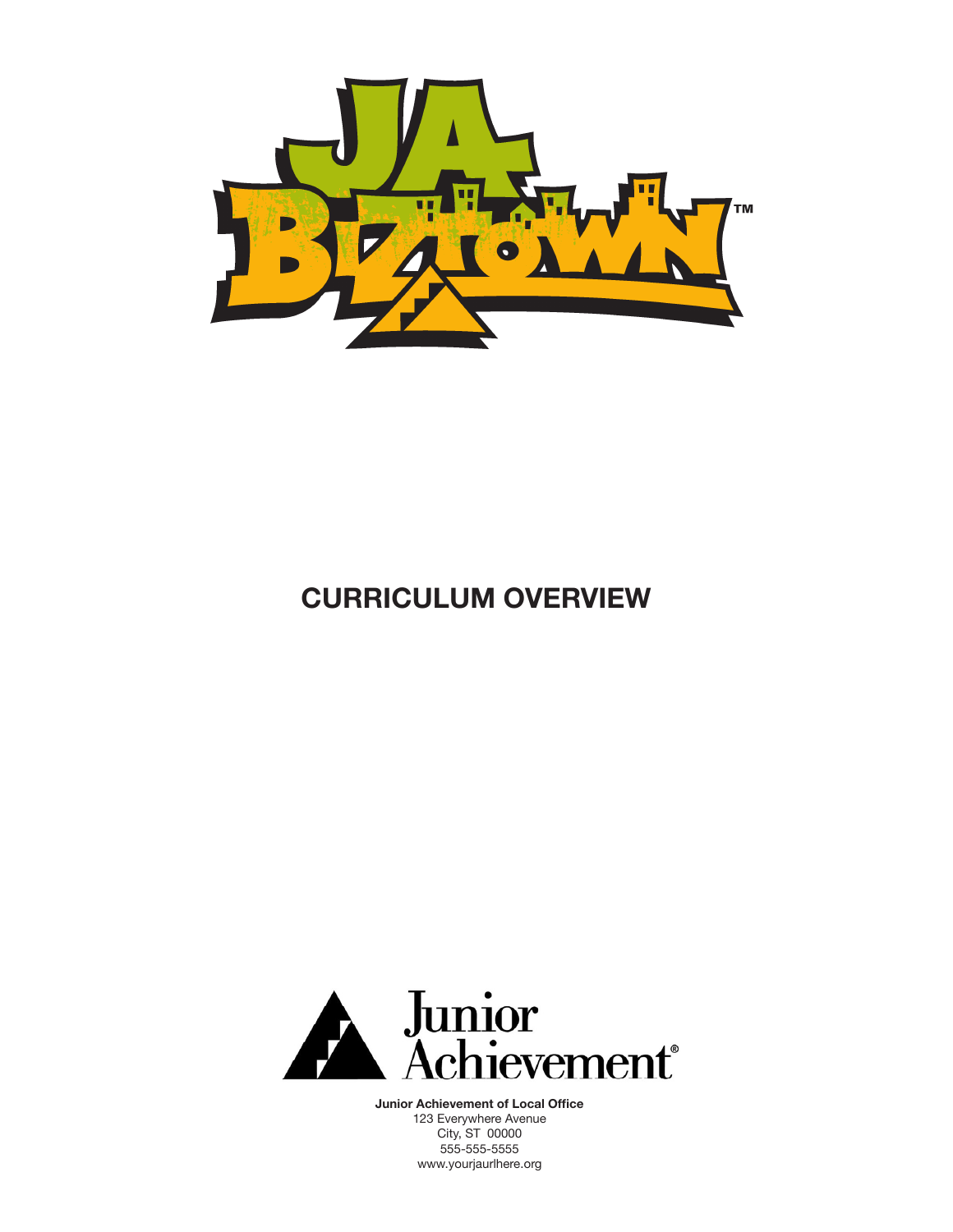

# **CURRICULUM OVERVIEW**



**Junior Achievement of Local Office** 123 Everywhere Avenue City, ST 00000 555-555-5555 www.yourjaurlhere.org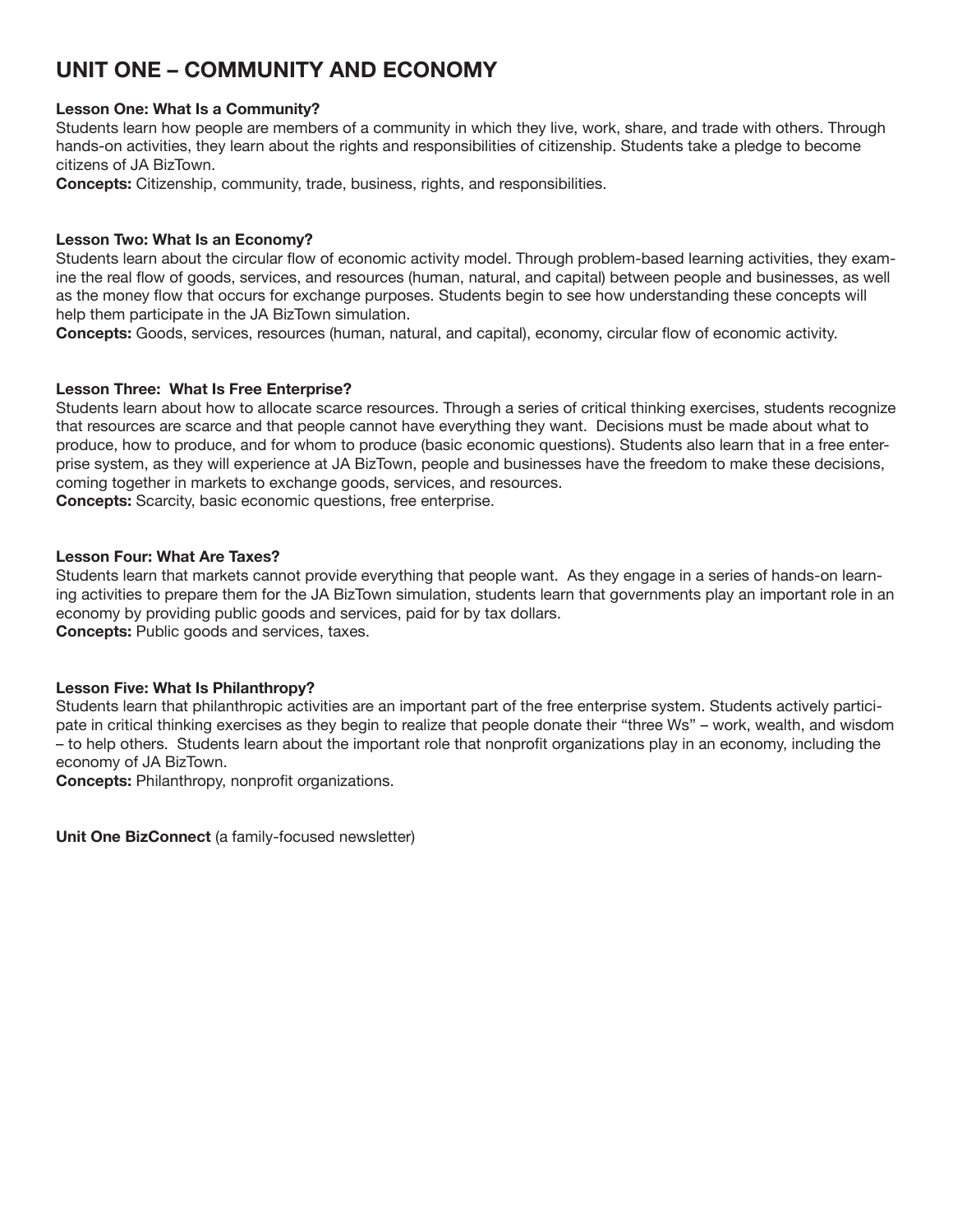# **UNIT ONE – Community and Economy**

#### **Lesson One: What Is a Community?**

Students learn how people are members of a community in which they live, work, share, and trade with others. Through hands-on activities, they learn about the rights and responsibilities of citizenship. Students take a pledge to become citizens of JA BizTown.

**Concepts:** Citizenship, community, trade, business, rights, and responsibilities.

#### **Lesson Two: What Is an Economy?**

Students learn about the circular flow of economic activity model. Through problem-based learning activities, they examine the real flow of goods, services, and resources (human, natural, and capital) between people and businesses, as well as the money flow that occurs for exchange purposes. Students begin to see how understanding these concepts will help them participate in the JA BizTown simulation.

**Concepts:** Goods, services, resources (human, natural, and capital), economy, circular flow of economic activity.

#### **Lesson Three: What Is Free Enterprise?**

Students learn about how to allocate scarce resources. Through a series of critical thinking exercises, students recognize that resources are scarce and that people cannot have everything they want. Decisions must be made about what to produce, how to produce, and for whom to produce (basic economic questions). Students also learn that in a free enterprise system, as they will experience at JA BizTown, people and businesses have the freedom to make these decisions, coming together in markets to exchange goods, services, and resources.

**Concepts:** Scarcity, basic economic questions, free enterprise.

### **Lesson Four: What Are Taxes?**

Students learn that markets cannot provide everything that people want. As they engage in a series of hands-on learning activities to prepare them for the JA BizTown simulation, students learn that governments play an important role in an economy by providing public goods and services, paid for by tax dollars. **Concepts:** Public goods and services, taxes.

#### **Lesson Five: What Is Philanthropy?**

Students learn that philanthropic activities are an important part of the free enterprise system. Students actively participate in critical thinking exercises as they begin to realize that people donate their "three Ws" – work, wealth, and wisdom – to help others. Students learn about the important role that nonprofit organizations play in an economy, including the economy of JA BizTown.

**Concepts:** Philanthropy, nonprofit organizations.

**Unit One BizConnect** (a family-focused newsletter)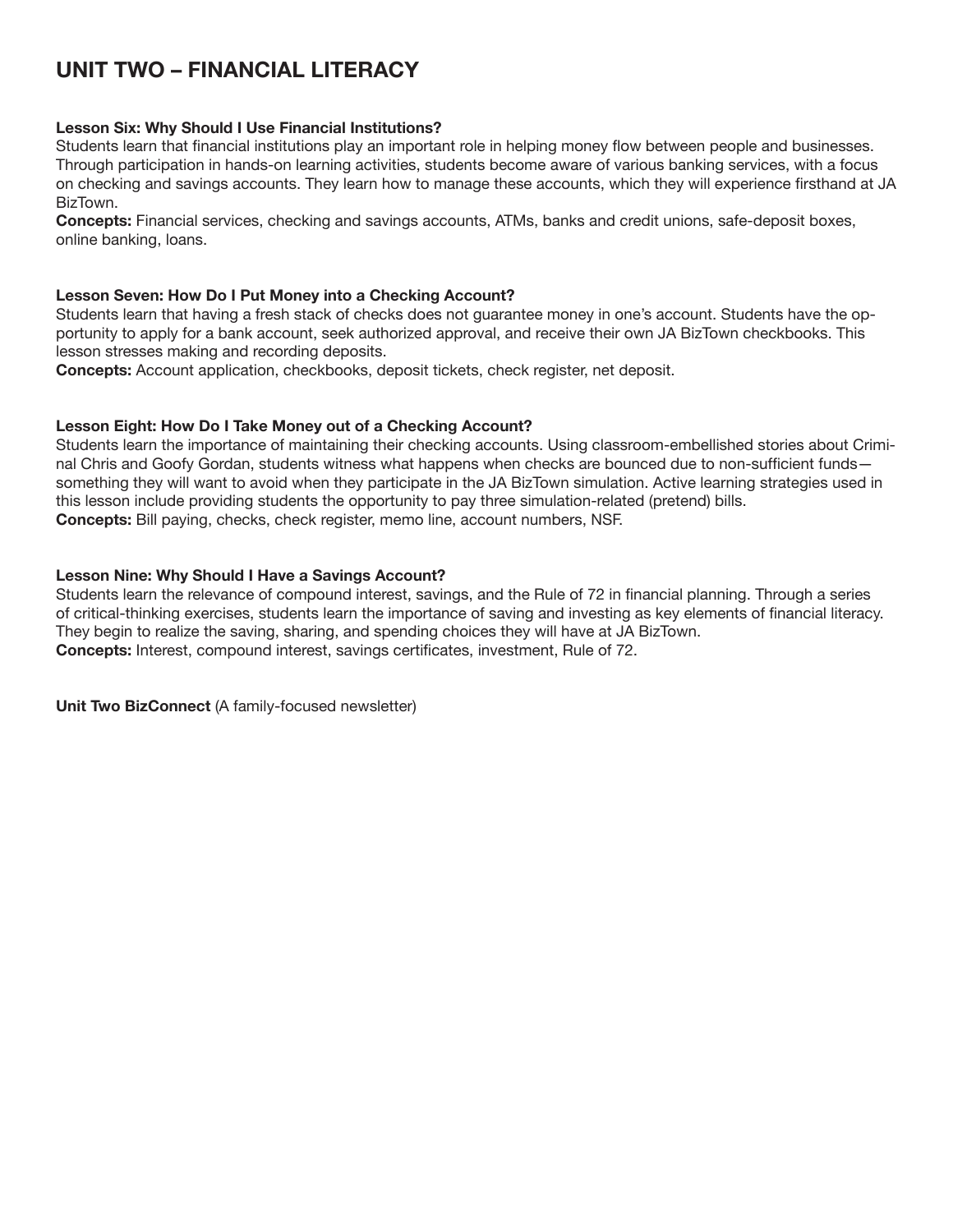# **UNIT TWO – Financial Literacy**

### **Lesson Six: Why Should I Use Financial Institutions?**

Students learn that financial institutions play an important role in helping money flow between people and businesses. Through participation in hands-on learning activities, students become aware of various banking services, with a focus on checking and savings accounts. They learn how to manage these accounts, which they will experience firsthand at JA BizTown.

**Concepts:** Financial services, checking and savings accounts, ATMs, banks and credit unions, safe-deposit boxes, online banking, loans.

#### **Lesson Seven: How Do I Put Money into a Checking Account?**

Students learn that having a fresh stack of checks does not guarantee money in one's account. Students have the opportunity to apply for a bank account, seek authorized approval, and receive their own JA BizTown checkbooks. This lesson stresses making and recording deposits.

**Concepts:** Account application, checkbooks, deposit tickets, check register, net deposit.

#### **Lesson Eight: How Do I Take Money out of a Checking Account?**

Students learn the importance of maintaining their checking accounts. Using classroom-embellished stories about Criminal Chris and Goofy Gordan, students witness what happens when checks are bounced due to non-sufficient funds something they will want to avoid when they participate in the JA BizTown simulation. Active learning strategies used in this lesson include providing students the opportunity to pay three simulation-related (pretend) bills. **Concepts:** Bill paying, checks, check register, memo line, account numbers, NSF.

#### **Lesson Nine: Why Should I Have a Savings Account?**

Students learn the relevance of compound interest, savings, and the Rule of 72 in financial planning. Through a series of critical-thinking exercises, students learn the importance of saving and investing as key elements of financial literacy. They begin to realize the saving, sharing, and spending choices they will have at JA BizTown. **Concepts:** Interest, compound interest, savings certificates, investment, Rule of 72.

**Unit Two BizConnect** (A family-focused newsletter)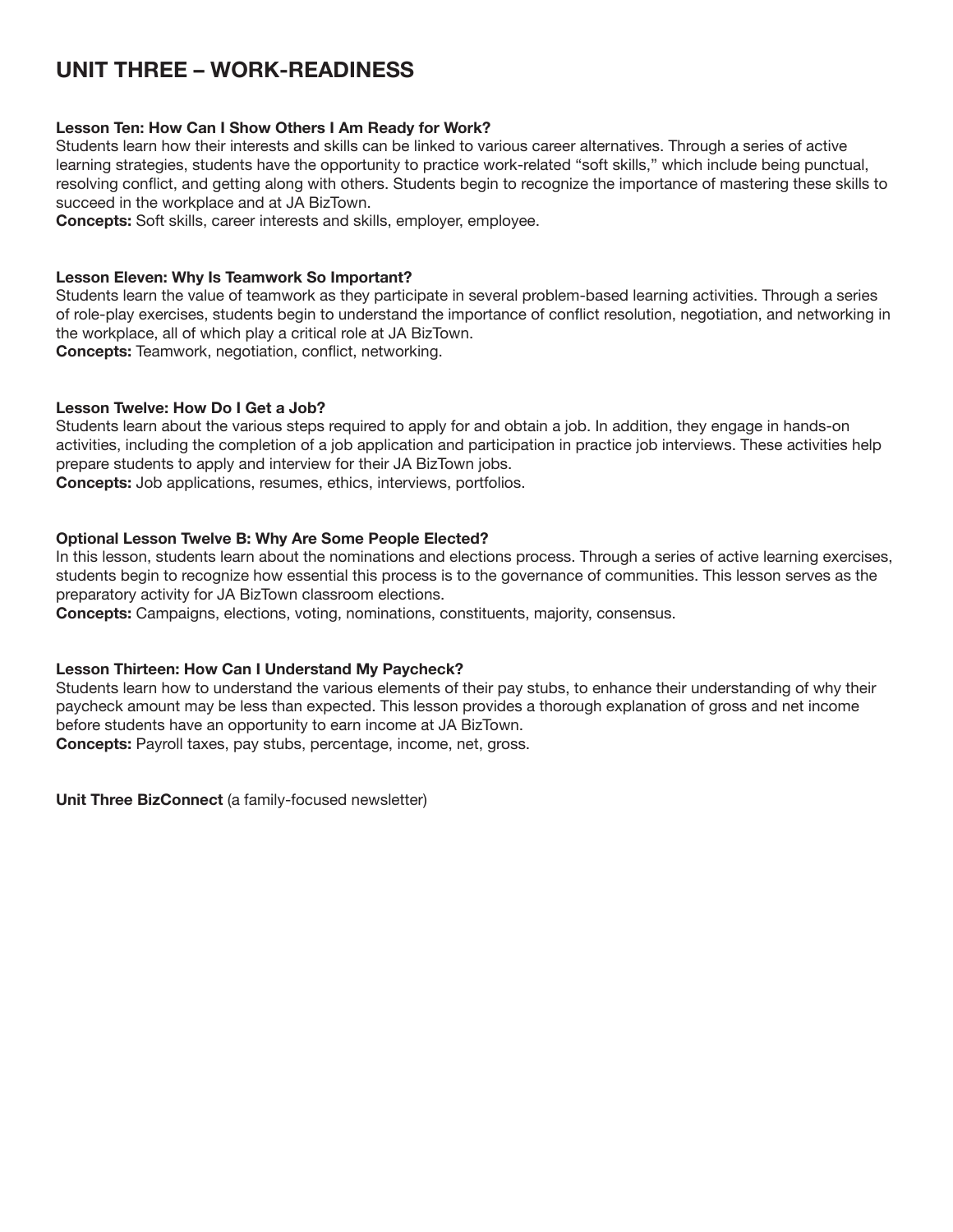# **UNIT THREE – Work-Readiness**

### **Lesson Ten: How Can I Show Others I Am Ready for Work?**

Students learn how their interests and skills can be linked to various career alternatives. Through a series of active learning strategies, students have the opportunity to practice work-related "soft skills," which include being punctual, resolving conflict, and getting along with others. Students begin to recognize the importance of mastering these skills to succeed in the workplace and at JA BizTown.

**Concepts:** Soft skills, career interests and skills, employer, employee.

#### **Lesson Eleven: Why Is Teamwork So Important?**

Students learn the value of teamwork as they participate in several problem-based learning activities. Through a series of role-play exercises, students begin to understand the importance of conflict resolution, negotiation, and networking in the workplace, all of which play a critical role at JA BizTown.

**Concepts:** Teamwork, negotiation, conflict, networking.

#### **Lesson Twelve: How Do I Get a Job?**

Students learn about the various steps required to apply for and obtain a job. In addition, they engage in hands-on activities, including the completion of a job application and participation in practice job interviews. These activities help prepare students to apply and interview for their JA BizTown jobs.

**Concepts:** Job applications, resumes, ethics, interviews, portfolios.

#### **Optional Lesson Twelve B: Why Are Some People Elected?**

In this lesson, students learn about the nominations and elections process. Through a series of active learning exercises, students begin to recognize how essential this process is to the governance of communities. This lesson serves as the preparatory activity for JA BizTown classroom elections.

**Concepts:** Campaigns, elections, voting, nominations, constituents, majority, consensus.

# **Lesson Thirteen: How Can I Understand My Paycheck?**

Students learn how to understand the various elements of their pay stubs, to enhance their understanding of why their paycheck amount may be less than expected. This lesson provides a thorough explanation of gross and net income before students have an opportunity to earn income at JA BizTown.

**Concepts:** Payroll taxes, pay stubs, percentage, income, net, gross.

**Unit Three BizConnect** (a family-focused newsletter)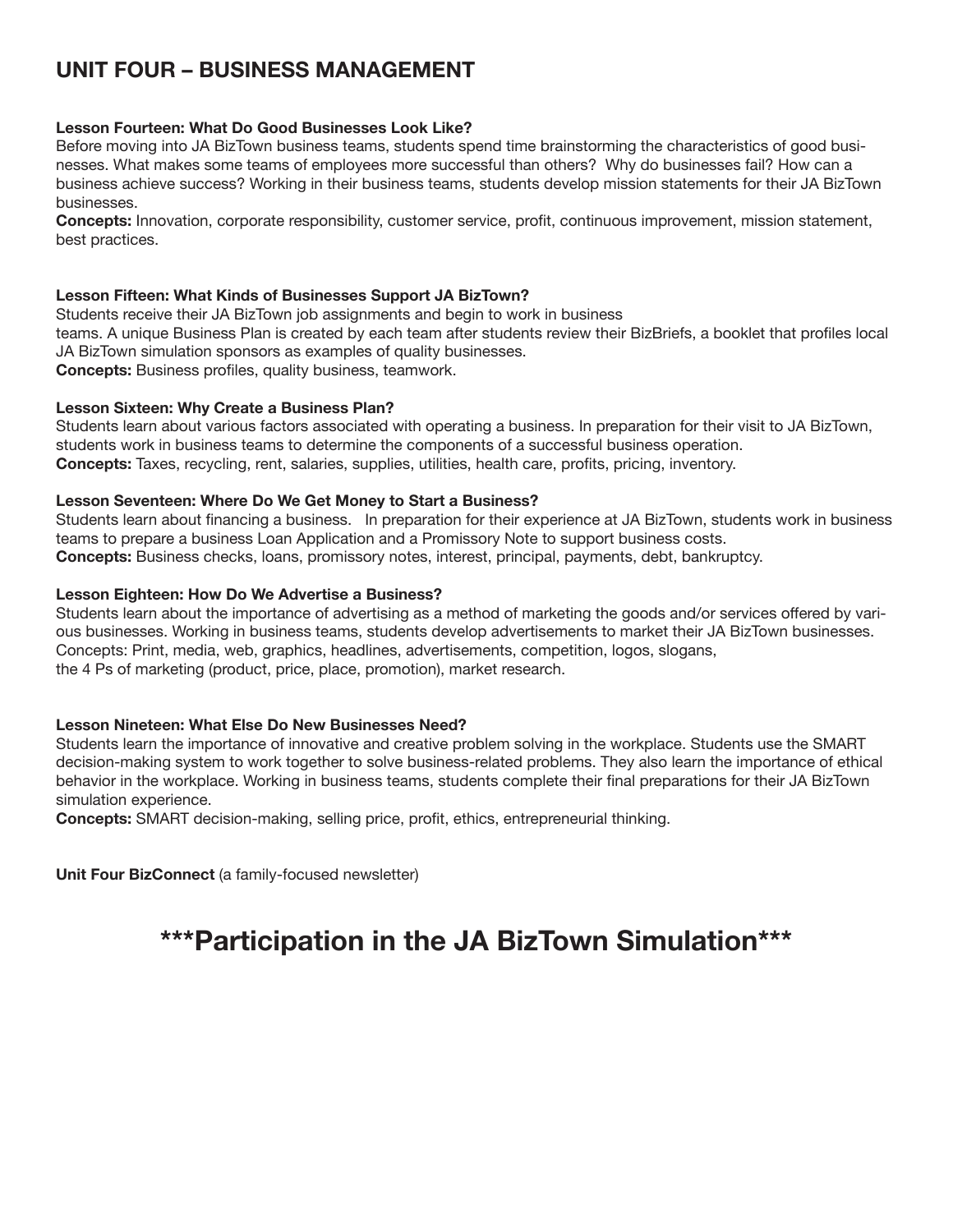# **UNIT FOUR – Business Management**

# **Lesson Fourteen: What Do Good Businesses Look Like?**

Before moving into JA BizTown business teams, students spend time brainstorming the characteristics of good businesses. What makes some teams of employees more successful than others? Why do businesses fail? How can a business achieve success? Working in their business teams, students develop mission statements for their JA BizTown businesses.

**Concepts:** Innovation, corporate responsibility, customer service, profit, continuous improvement, mission statement, best practices.

# **Lesson Fifteen: What Kinds of Businesses Support JA BizTown?**

Students receive their JA BizTown job assignments and begin to work in business teams. A unique Business Plan is created by each team after students review their BizBriefs, a booklet that profiles local JA BizTown simulation sponsors as examples of quality businesses. **Concepts:** Business profiles, quality business, teamwork.

# **Lesson Sixteen: Why Create a Business Plan?**

Students learn about various factors associated with operating a business. In preparation for their visit to JA BizTown, students work in business teams to determine the components of a successful business operation. **Concepts:** Taxes, recycling, rent, salaries, supplies, utilities, health care, profits, pricing, inventory.

# **Lesson Seventeen: Where Do We Get Money to Start a Business?**

Students learn about financing a business. In preparation for their experience at JA BizTown, students work in business teams to prepare a business Loan Application and a Promissory Note to support business costs. **Concepts:** Business checks, loans, promissory notes, interest, principal, payments, debt, bankruptcy.

# **Lesson Eighteen: How Do We Advertise a Business?**

Students learn about the importance of advertising as a method of marketing the goods and/or services offered by various businesses. Working in business teams, students develop advertisements to market their JA BizTown businesses. Concepts: Print, media, web, graphics, headlines, advertisements, competition, logos, slogans, the 4 Ps of marketing (product, price, place, promotion), market research.

# **Lesson Nineteen: What Else Do New Businesses Need?**

Students learn the importance of innovative and creative problem solving in the workplace. Students use the SMART decision-making system to work together to solve business-related problems. They also learn the importance of ethical behavior in the workplace. Working in business teams, students complete their final preparations for their JA BizTown simulation experience.

**Concepts:** SMART decision-making, selling price, profit, ethics, entrepreneurial thinking.

**Unit Four BizConnect** (a family-focused newsletter)

# **\*\*\*Participation in the JA BizTown Simulation\*\*\***